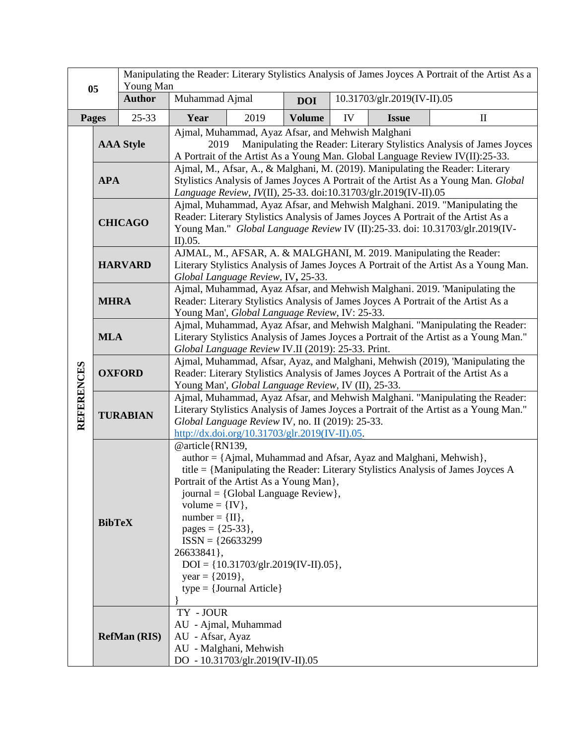| 05                |                     | Manipulating the Reader: Literary Stylistics Analysis of James Joyces A Portrait of the Artist As a<br>Young Man |                                                                                                                                                                                                                                                                                                                                                                                                                                                                          |                                                                                    |               |                             |              |              |
|-------------------|---------------------|------------------------------------------------------------------------------------------------------------------|--------------------------------------------------------------------------------------------------------------------------------------------------------------------------------------------------------------------------------------------------------------------------------------------------------------------------------------------------------------------------------------------------------------------------------------------------------------------------|------------------------------------------------------------------------------------|---------------|-----------------------------|--------------|--------------|
|                   |                     | <b>Author</b>                                                                                                    | Muhammad Ajmal                                                                                                                                                                                                                                                                                                                                                                                                                                                           |                                                                                    | <b>DOI</b>    | 10.31703/glr.2019(IV-II).05 |              |              |
|                   | <b>Pages</b>        | $25 - 33$                                                                                                        | Year                                                                                                                                                                                                                                                                                                                                                                                                                                                                     | 2019                                                                               | <b>Volume</b> | IV                          | <b>Issue</b> | $\mathbf{I}$ |
|                   | <b>AAA Style</b>    |                                                                                                                  | Ajmal, Muhammad, Ayaz Afsar, and Mehwish Malghani<br>Manipulating the Reader: Literary Stylistics Analysis of James Joyces<br>2019<br>A Portrait of the Artist As a Young Man. Global Language Review IV(II):25-33.                                                                                                                                                                                                                                                      |                                                                                    |               |                             |              |              |
| <b>REFERENCES</b> | <b>APA</b>          |                                                                                                                  | Ajmal, M., Afsar, A., & Malghani, M. (2019). Manipulating the Reader: Literary<br>Stylistics Analysis of James Joyces A Portrait of the Artist As a Young Man. Global<br>Language Review, IV(II), 25-33. doi:10.31703/glr.2019(IV-II).05                                                                                                                                                                                                                                 |                                                                                    |               |                             |              |              |
|                   | <b>CHICAGO</b>      |                                                                                                                  | Ajmal, Muhammad, Ayaz Afsar, and Mehwish Malghani. 2019. "Manipulating the<br>Reader: Literary Stylistics Analysis of James Joyces A Portrait of the Artist As a<br>Young Man." Global Language Review IV (II):25-33. doi: 10.31703/glr.2019(IV-<br>II).05.                                                                                                                                                                                                              |                                                                                    |               |                             |              |              |
|                   | <b>HARVARD</b>      |                                                                                                                  | AJMAL, M., AFSAR, A. & MALGHANI, M. 2019. Manipulating the Reader:<br>Literary Stylistics Analysis of James Joyces A Portrait of the Artist As a Young Man.<br>Global Language Review, IV, 25-33.                                                                                                                                                                                                                                                                        |                                                                                    |               |                             |              |              |
|                   | <b>MHRA</b>         |                                                                                                                  | Ajmal, Muhammad, Ayaz Afsar, and Mehwish Malghani. 2019. 'Manipulating the<br>Reader: Literary Stylistics Analysis of James Joyces A Portrait of the Artist As a<br>Young Man', Global Language Review, IV: 25-33.                                                                                                                                                                                                                                                       |                                                                                    |               |                             |              |              |
|                   | <b>MLA</b>          |                                                                                                                  | Ajmal, Muhammad, Ayaz Afsar, and Mehwish Malghani. "Manipulating the Reader:<br>Literary Stylistics Analysis of James Joyces a Portrait of the Artist as a Young Man."<br>Global Language Review IV.II (2019): 25-33. Print.                                                                                                                                                                                                                                             |                                                                                    |               |                             |              |              |
|                   | <b>OXFORD</b>       |                                                                                                                  | Ajmal, Muhammad, Afsar, Ayaz, and Malghani, Mehwish (2019), 'Manipulating the<br>Reader: Literary Stylistics Analysis of James Joyces A Portrait of the Artist As a<br>Young Man', Global Language Review, IV (II), 25-33.                                                                                                                                                                                                                                               |                                                                                    |               |                             |              |              |
|                   | <b>TURABIAN</b>     |                                                                                                                  | Ajmal, Muhammad, Ayaz Afsar, and Mehwish Malghani. "Manipulating the Reader:<br>Literary Stylistics Analysis of James Joyces a Portrait of the Artist as a Young Man."<br>Global Language Review IV, no. II (2019): 25-33.<br>http://dx.doi.org/10.31703/glr.2019(IV-II).05                                                                                                                                                                                              |                                                                                    |               |                             |              |              |
|                   | <b>BibTeX</b>       |                                                                                                                  | @article{RN139,<br>author = {Ajmal, Muhammad and Afsar, Ayaz and Malghani, Mehwish},<br>title = {Manipulating the Reader: Literary Stylistics Analysis of James Joyces A<br>Portrait of the Artist As a Young Man},<br>journal = {Global Language Review},<br>volume = $\{IV\},\$<br>$number = \{II\},\$<br>pages = $\{25-33\},\$<br>$ISSN = {26633299}$<br>26633841},<br>$DOI = \{10.31703/glr.2019(IV-II).05\},\$<br>year = $\{2019\}$ ,<br>$type = {Journal Article}$ |                                                                                    |               |                             |              |              |
|                   | <b>RefMan (RIS)</b> |                                                                                                                  | TY - JOUR<br>AU - Afsar, Ayaz                                                                                                                                                                                                                                                                                                                                                                                                                                            | AU - Ajmal, Muhammad<br>AU - Malghani, Mehwish<br>DO - 10.31703/glr.2019(IV-II).05 |               |                             |              |              |